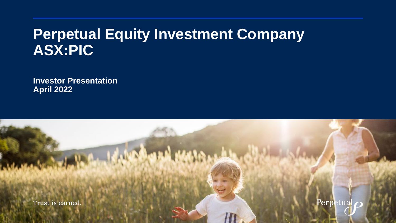# **Perpetual Equity Investment Company ASX:PIC**

**Investor Presentation April 2022**

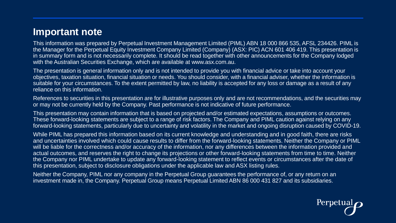### **Important note**

This information was prepared by Perpetual Investment Management Limited (PIML) ABN 18 000 866 535, AFSL 234426. PIML is the Manager for the Perpetual Equity Investment Company Limited (Company) (ASX: PIC) ACN 601 406 419. This presentation is in summary form and is not necessarily complete. It should be read together with other announcements for the Company lodged with the Australian Securities Exchange, which are available at www.asx.com.au.

The presentation is general information only and is not intended to provide you with financial advice or take into account your objectives, taxation situation, financial situation or needs. You should consider, with a financial adviser, whether the information is suitable for your circumstances. To the extent permitted by law, no liability is accepted for any loss or damage as a result of any reliance on this information.

References to securities in this presentation are for illustrative purposes only and are not recommendations, and the securities may or may not be currently held by the Company. Past performance is not indicative of future performance.

This presentation may contain information that is based on projected and/or estimated expectations, assumptions or outcomes. These forward-looking statements are subject to a range of risk factors. The Company and PIML caution against relying on any forward-looking statements, particularly due to uncertainty and volatility in the market and ongoing disruption caused by COVID-19.

While PIML has prepared this information based on its current knowledge and understanding and in good faith, there are risks and uncertainties involved which could cause results to differ from the forward-looking statements. Neither the Company or PIML will be liable for the correctness and/or accuracy of the information, nor any differences between the information provided and actual outcomes, and reserves the right to change its projections or other forward-looking statements from time to time. Neither the Company nor PIML undertake to update any forward-looking statement to reflect events or circumstances after the date of this presentation, subject to disclosure obligations under the applicable law and ASX listing rules.

Neither the Company, PIML nor any company in the Perpetual Group guarantees the performance of, or any return on an investment made in, the Company. Perpetual Group means Perpetual Limited ABN 86 000 431 827 and its subsidiaries.

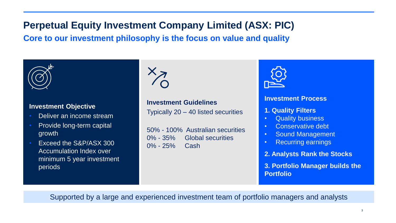# **Perpetual Equity Investment Company Limited (ASX: PIC)**

**Core to our investment philosophy is the focus on value and quality**



#### **Investment Objective**

- Deliver an income stream
- Provide long-term capital growth
- Exceed the S&P/ASX 300 Accumulation Index over minimum 5 year investment periods



**Investment Guidelines** Typically 20 – 40 listed securities

50% - 100% Australian securities 0% - 35% Global securities 0% - 25% Cash



#### **Investment Process**

- **1. Quality Filters**
- Quality business
- Conservative debt
- Sound Management
- Recurring earnings
- **2. Analysts Rank the Stocks**

**3. Portfolio Manager builds the Portfolio** 

Supported by a large and experienced investment team of portfolio managers and analysts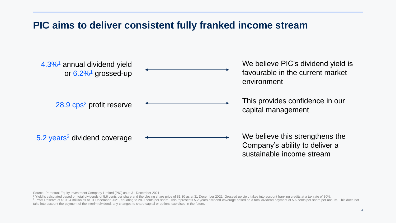## **PIC aims to deliver consistent fully franked income stream**



Source: Perpetual Equity Investment Company Limited (PIC) as at 31 December 2021.

<sup>1</sup> Yield is calculated based on total dividends of 5.6 cents per share and the closing share price of \$1.30 as at 31 December 2021. Grossed up yield takes into account franking credits at a tax rate of 30%.

<sup>2</sup> Profit Reserve of \$108.4 million as at 31 December 2021, equating to 28.9 cents per share. This represents 5.2 years dividend coverage based on a total dividend payment of 5.6 cents per share per annum. This does not take into account the payment of the interim dividend, any changes to share capital or options exercised in the future.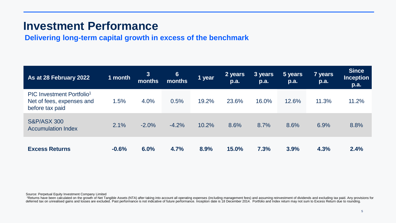## **Investment Performance**

**Delivering long-term capital growth in excess of the benchmark**

| As at 28 February 2022                                                                | 1 month | $3\phantom{a}$<br>months | 6 <sup>°</sup><br>months | 1 year | 2 years<br>p.a. | 3 years<br>p.a. | 5 years<br>p.a. | 7 years<br><b>p.a.</b> | <b>Since</b><br><b>Inception</b><br>p.a. |
|---------------------------------------------------------------------------------------|---------|--------------------------|--------------------------|--------|-----------------|-----------------|-----------------|------------------------|------------------------------------------|
| PIC Investment Portfolio <sup>1</sup><br>Net of fees, expenses and<br>before tax paid | 1.5%    | 4.0%                     | 0.5%                     | 19.2%  | 23.6%           | 16.0%           | 12.6%           | 11.3%                  | 11.2%                                    |
| <b>S&amp;P/ASX 300</b><br><b>Accumulation Index</b>                                   | 2.1%    | $-2.0%$                  | $-4.2%$                  | 10.2%  | 8.6%            | 8.7%            | 8.6%            | 6.9%                   | 8.8%                                     |
| <b>Excess Returns</b>                                                                 | $-0.6%$ | 6.0%                     | 4.7%                     | 8.9%   | 15.0%           | 7.3%            | 3.9%            | 4.3%                   | 2.4%                                     |

Source: Perpetual Equity Investment Company Limited

1Returns have been calculated on the growth of Net Tangible Assets (NTA) after taking into account all operating expenses (including management fees) and assuming reinvestment of dividends and excluding tax paid. Any provi deferred tax on unrealised gains and losses are excluded. Past performance is not indicative of future performance. Inception date is 18 December 2014. Portfolio and Index return may not sum to Excess Return due to roundin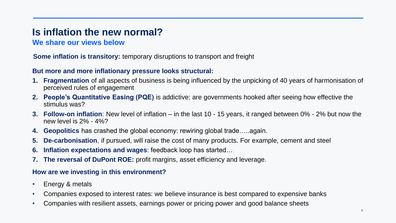## **Is inflation the new normal?**

#### **We share our views below**

#### **Some inflation is transitory:** temporary disruptions to transport and freight

#### **But more and more inflationary pressure looks structural:**

- **1. Fragmentation** of all aspects of business is being influenced by the unpicking of 40 years of harmonisation of perceived rules of engagement
- **2. People's Quantitative Easing (PQE)** is addictive: are governments hooked after seeing how effective the stimulus was?
- **3. Follow-on inflation**: New level of inflation in the last 10 15 years, it ranged between 0% 2% but now the new level is 2% - 4%?
- **4. Geopolitics** has crashed the global economy: rewiring global trade…..again.
- **5. De-carbonisation**, if pursued, will raise the cost of many products. For example, cement and steel
- **6. Inflation expectations and wages**: feedback loop has started…
- **7. The reversal of DuPont ROE:** profit margins, asset efficiency and leverage.

#### **How are we investing in this environment?**

- Energy & metals
- Companies exposed to interest rates: we believe insurance is best compared to expensive banks
- Companies with resilient assets, earnings power or pricing power and good balance sheets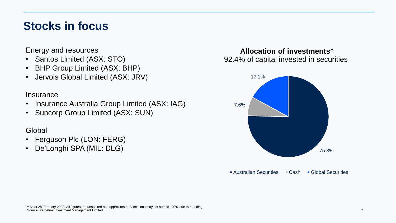## **Stocks in focus**

Energy and resources

- Santos Limited (ASX: STO)
- BHP Group Limited (ASX: BHP)
- Jervois Global Limited (ASX: JRV)

**Insurance** 

- Insurance Australia Group Limited (ASX: IAG)
- Suncorp Group Limited (ASX: SUN)

#### **Global**

- Ferguson Plc (LON: FERG)
- De'Longhi SPA (MIL: DLG)

#### **Allocation of investments**^ 92.4% of capital invested in securities



■ Australian Securities ■ Cash ■ Global Securities